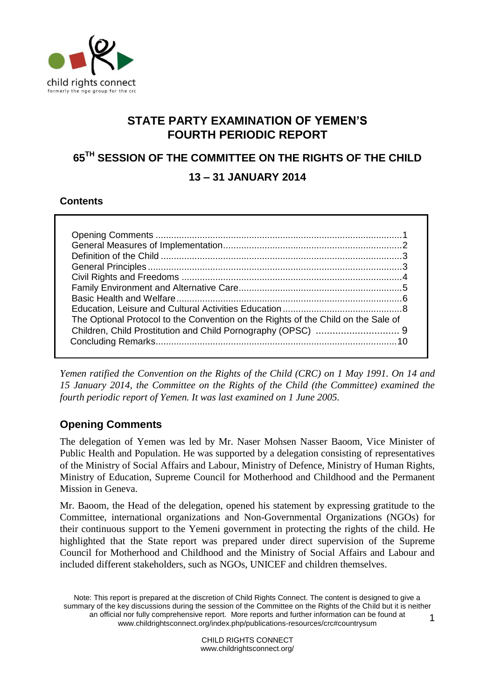

# **STATE PARTY EXAMINATION OF YEMEN'S FOURTH PERIODIC REPORT**

# **65TH SESSION OF THE COMMITTEE ON THE RIGHTS OF THE CHILD 13 – 31 JANUARY 2014**

### **Contents**

| The Optional Protocol to the Convention on the Rights of the Child on the Sale of |  |
|-----------------------------------------------------------------------------------|--|
|                                                                                   |  |
|                                                                                   |  |

*Yemen ratified the Convention on the Rights of the Child (CRC) on 1 May 1991. On 14 and 15 January 2014, the Committee on the Rights of the Child (the Committee) examined the fourth periodic report of Yemen. It was last examined on 1 June 2005.*

# <span id="page-0-0"></span>**Opening Comments**

The delegation of Yemen was led by Mr. Naser Mohsen Nasser Baoom, Vice Minister of Public Health and Population. He was supported by a delegation consisting of representatives of the Ministry of Social Affairs and Labour, Ministry of Defence, Ministry of Human Rights, Ministry of Education, Supreme Council for Motherhood and Childhood and the Permanent Mission in Geneva.

Mr. Baoom, the Head of the delegation, opened his statement by expressing gratitude to the Committee, international organizations and Non-Governmental Organizations (NGOs) for their continuous support to the Yemeni government in protecting the rights of the child. He highlighted that the State report was prepared under direct supervision of the Supreme Council for Motherhood and Childhood and the Ministry of Social Affairs and Labour and included different stakeholders, such as NGOs, UNICEF and children themselves.

Note: This report is prepared at the discretion of Child Rights Connect. The content is designed to give a summary of the key discussions during the session of the Committee on the Rights of the Child but it is neither an official nor fully comprehensive report. More reports and further information can be found at [www.childrightsconnect.org/index.php/publications-resources/crc#countrysum](http://www.childrightsconnect.org/index.php/publications-resources/crc#countrysum) 1

> CHILD RIGHTS CONNECT www.childrightsconnect.org/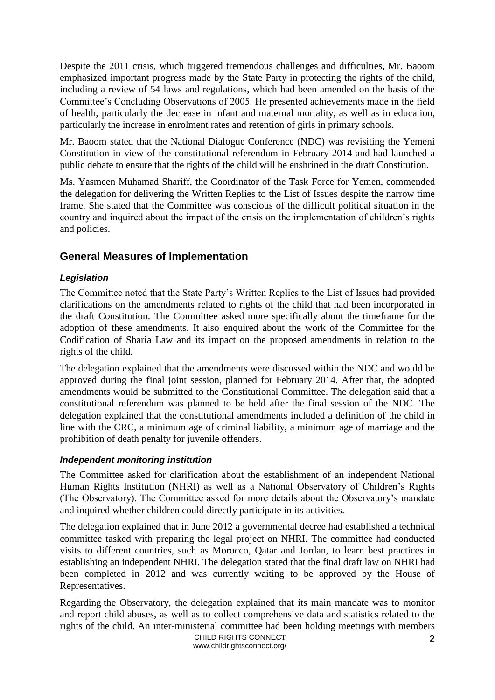Despite the 2011 crisis, which triggered tremendous challenges and difficulties, Mr. Baoom emphasized important progress made by the State Party in protecting the rights of the child, including a review of 54 laws and regulations, which had been amended on the basis of the Committee's Concluding Observations of 2005. He presented achievements made in the field of health, particularly the decrease in infant and maternal mortality, as well as in education, particularly the increase in enrolment rates and retention of girls in primary schools.

Mr. Baoom stated that the National Dialogue Conference (NDC) was revisiting the Yemeni Constitution in view of the constitutional referendum in February 2014 and had launched a public debate to ensure that the rights of the child will be enshrined in the draft Constitution.

Ms. Yasmeen Muhamad Shariff, the Coordinator of the Task Force for Yemen, commended the delegation for delivering the Written Replies to the List of Issues despite the narrow time frame. She stated that the Committee was conscious of the difficult political situation in the country and inquired about the impact of the crisis on the implementation of children's rights and policies.

### <span id="page-1-0"></span>**General Measures of Implementation**

### *Legislation*

The Committee noted that the State Party's Written Replies to the List of Issues had provided clarifications on the amendments related to rights of the child that had been incorporated in the draft Constitution. The Committee asked more specifically about the timeframe for the adoption of these amendments. It also enquired about the work of the Committee for the Codification of Sharia Law and its impact on the proposed amendments in relation to the rights of the child.

The delegation explained that the amendments were discussed within the NDC and would be approved during the final joint session, planned for February 2014. After that, the adopted amendments would be submitted to the Constitutional Committee. The delegation said that a constitutional referendum was planned to be held after the final session of the NDC. The delegation explained that the constitutional amendments included a definition of the child in line with the CRC, a minimum age of criminal liability, a minimum age of marriage and the prohibition of death penalty for juvenile offenders.

### *Independent monitoring institution*

The Committee asked for clarification about the establishment of an independent National Human Rights Institution (NHRI) as well as a National Observatory of Children's Rights (The Observatory). The Committee asked for more details about the Observatory's mandate and inquired whether children could directly participate in its activities.

The delegation explained that in June 2012 a governmental decree had established a technical committee tasked with preparing the legal project on NHRI. The committee had conducted visits to different countries, such as Morocco, Qatar and Jordan, to learn best practices in establishing an independent NHRI. The delegation stated that the final draft law on NHRI had been completed in 2012 and was currently waiting to be approved by the House of Representatives.

Regarding the Observatory, the delegation explained that its main mandate was to monitor and report child abuses, as well as to collect comprehensive data and statistics related to the rights of the child. An inter-ministerial committee had been holding meetings with members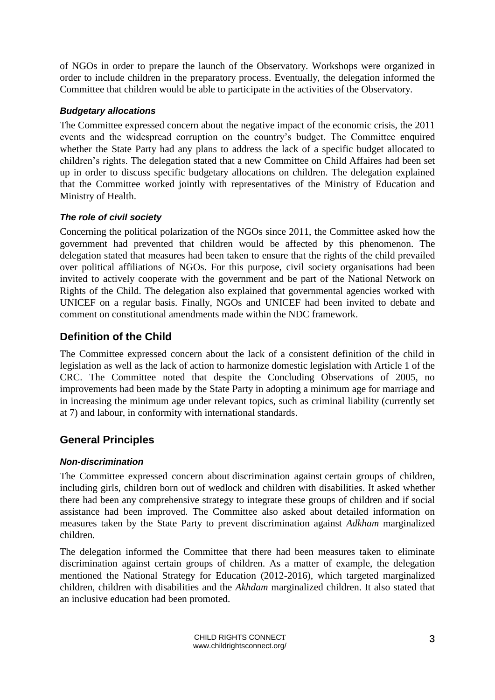of NGOs in order to prepare the launch of the Observatory. Workshops were organized in order to include children in the preparatory process. Eventually, the delegation informed the Committee that children would be able to participate in the activities of the Observatory.

### *Budgetary allocations*

The Committee expressed concern about the negative impact of the economic crisis, the 2011 events and the widespread corruption on the country's budget. The Committee enquired whether the State Party had any plans to address the lack of a specific budget allocated to children's rights. The delegation stated that a new Committee on Child Affaires had been set up in order to discuss specific budgetary allocations on children. The delegation explained that the Committee worked jointly with representatives of the Ministry of Education and Ministry of Health.

### *The role of civil society*

Concerning the political polarization of the NGOs since 2011, the Committee asked how the government had prevented that children would be affected by this phenomenon. The delegation stated that measures had been taken to ensure that the rights of the child prevailed over political affiliations of NGOs. For this purpose, civil society organisations had been invited to actively cooperate with the government and be part of the National Network on Rights of the Child. The delegation also explained that governmental agencies worked with UNICEF on a regular basis. Finally, NGOs and UNICEF had been invited to debate and comment on constitutional amendments made within the NDC framework.

# <span id="page-2-0"></span>**Definition of the Child**

The Committee expressed concern about the lack of a consistent definition of the child in legislation as well as the lack of action to harmonize domestic legislation with Article 1 of the CRC. The Committee noted that despite the Concluding Observations of 2005, no improvements had been made by the State Party in adopting a minimum age for marriage and in increasing the minimum age under relevant topics, such as criminal liability (currently set at 7) and labour, in conformity with international standards.

# <span id="page-2-1"></span>**General Principles**

### *Non-discrimination*

The Committee expressed concern about discrimination against certain groups of children, including girls, children born out of wedlock and children with disabilities. It asked whether there had been any comprehensive strategy to integrate these groups of children and if social assistance had been improved. The Committee also asked about detailed information on measures taken by the State Party to prevent discrimination against *Adkham* marginalized children.

The delegation informed the Committee that there had been measures taken to eliminate discrimination against certain groups of children. As a matter of example, the delegation mentioned the National Strategy for Education (2012-2016), which targeted marginalized children, children with disabilities and the *Akhdam* marginalized children. It also stated that an inclusive education had been promoted.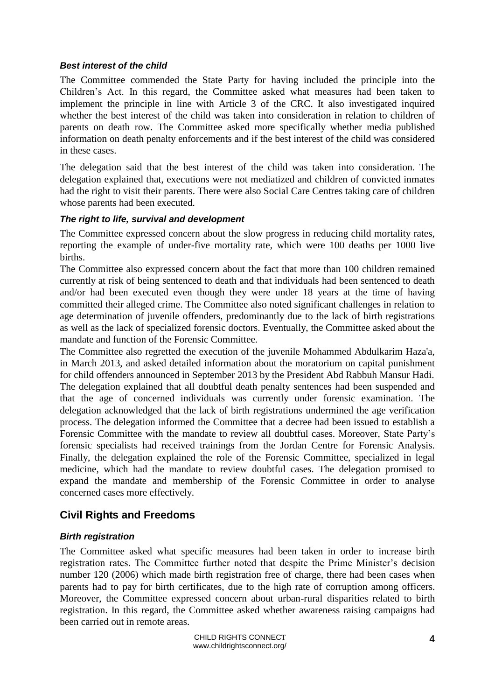### *Best interest of the child*

The Committee commended the State Party for having included the principle into the Children's Act. In this regard, the Committee asked what measures had been taken to implement the principle in line with Article 3 of the CRC. It also investigated inquired whether the best interest of the child was taken into consideration in relation to children of parents on death row. The Committee asked more specifically whether media published information on death penalty enforcements and if the best interest of the child was considered in these cases.

The delegation said that the best interest of the child was taken into consideration. The delegation explained that, executions were not mediatized and children of convicted inmates had the right to visit their parents. There were also Social Care Centres taking care of children whose parents had been executed.

### *The right to life, survival and development*

The Committee expressed concern about the slow progress in reducing child mortality rates, reporting the example of under-five mortality rate, which were 100 deaths per 1000 live births.

The Committee also expressed concern about the fact that more than 100 children remained currently at risk of being sentenced to death and that individuals had been sentenced to death and/or had been executed even though they were under 18 years at the time of having committed their alleged crime. The Committee also noted significant challenges in relation to age determination of juvenile offenders, predominantly due to the lack of birth registrations as well as the lack of specialized forensic doctors. Eventually, the Committee asked about the mandate and function of the Forensic Committee.

The Committee also regretted the execution of the juvenile Mohammed Abdulkarim Haza'a, in March 2013, and asked detailed information about the moratorium on capital punishment for child offenders announced in September 2013 by the President Abd Rabbuh Mansur Hadi. The delegation explained that all doubtful death penalty sentences had been suspended and that the age of concerned individuals was currently under forensic examination. The delegation acknowledged that the lack of birth registrations undermined the age verification process. The delegation informed the Committee that a decree had been issued to establish a Forensic Committee with the mandate to review all doubtful cases. Moreover, State Party's forensic specialists had received trainings from the Jordan Centre for Forensic Analysis. Finally, the delegation explained the role of the Forensic Committee, specialized in legal medicine, which had the mandate to review doubtful cases. The delegation promised to expand the mandate and membership of the Forensic Committee in order to analyse concerned cases more effectively.

### <span id="page-3-0"></span>**Civil Rights and Freedoms**

### *Birth registration*

The Committee asked what specific measures had been taken in order to increase birth registration rates. The Committee further noted that despite the Prime Minister's decision number 120 (2006) which made birth registration free of charge, there had been cases when parents had to pay for birth certificates, due to the high rate of corruption among officers. Moreover, the Committee expressed concern about urban-rural disparities related to birth registration. In this regard, the Committee asked whether awareness raising campaigns had been carried out in remote areas.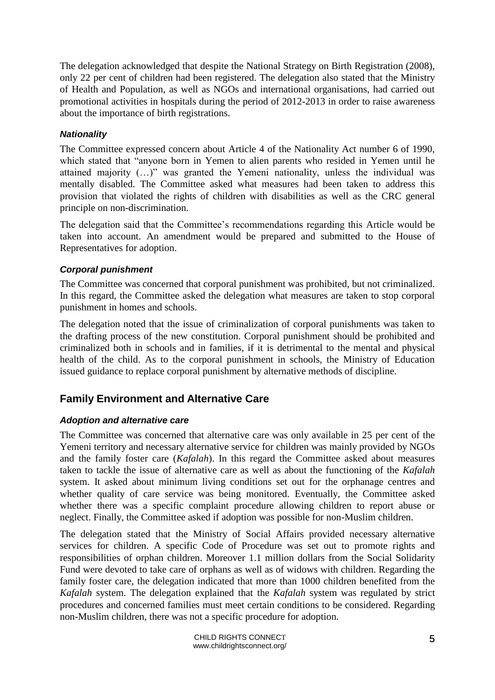The delegation acknowledged that despite the National Strategy on Birth Registration (2008), only 22 per cent of children had been registered. The delegation also stated that the Ministry of Health and Population, as well as NGOs and international organisations, had carried out promotional activities in hospitals during the period of 2012-2013 in order to raise awareness about the importance of birth registrations.

### *Nationality*

The Committee expressed concern about Article 4 of the Nationality Act number 6 of 1990, which stated that "anyone born in Yemen to alien parents who resided in Yemen until he attained majority (…)" was granted the Yemeni nationality, unless the individual was mentally disabled. The Committee asked what measures had been taken to address this provision that violated the rights of children with disabilities as well as the CRC general principle on non-discrimination.

The delegation said that the Committee's recommendations regarding this Article would be taken into account. An amendment would be prepared and submitted to the House of Representatives for adoption.

### *Corporal punishment*

The Committee was concerned that corporal punishment was prohibited, but not criminalized. In this regard, the Committee asked the delegation what measures are taken to stop corporal punishment in homes and schools.

The delegation noted that the issue of criminalization of corporal punishments was taken to the drafting process of the new constitution. Corporal punishment should be prohibited and criminalized both in schools and in families, if it is detrimental to the mental and physical health of the child. As to the corporal punishment in schools, the Ministry of Education issued guidance to replace corporal punishment by alternative methods of discipline.

# <span id="page-4-0"></span>**Family Environment and Alternative Care**

### *Adoption and alternative care*

The Committee was concerned that alternative care was only available in 25 per cent of the Yemeni territory and necessary alternative service for children was mainly provided by NGOs and the family foster care (*Kafalah*). In this regard the Committee asked about measures taken to tackle the issue of alternative care as well as about the functioning of the *Kafalah* system. It asked about minimum living conditions set out for the orphanage centres and whether quality of care service was being monitored. Eventually, the Committee asked whether there was a specific complaint procedure allowing children to report abuse or neglect. Finally, the Committee asked if adoption was possible for non-Muslim children.

The delegation stated that the Ministry of Social Affairs provided necessary alternative services for children. A specific Code of Procedure was set out to promote rights and responsibilities of orphan children. Moreover 1.1 million dollars from the Social Solidarity Fund were devoted to take care of orphans as well as of widows with children. Regarding the family foster care, the delegation indicated that more than 1000 children benefited from the *Kafalah* system. The delegation explained that the *Kafalah* system was regulated by strict procedures and concerned families must meet certain conditions to be considered. Regarding non-Muslim children, there was not a specific procedure for adoption.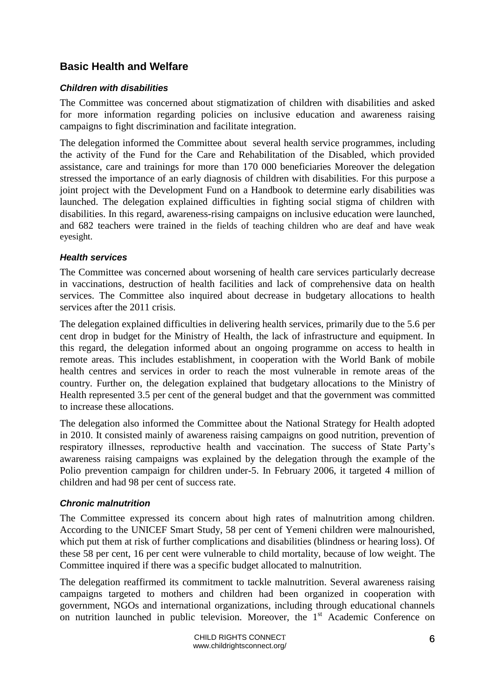# <span id="page-5-0"></span>**Basic Health and Welfare**

### *Children with disabilities*

The Committee was concerned about stigmatization of children with disabilities and asked for more information regarding policies on inclusive education and awareness raising campaigns to fight discrimination and facilitate integration.

The delegation informed the Committee about several health service programmes, including the activity of the Fund for the Care and Rehabilitation of the Disabled, which provided assistance, care and trainings for more than 170 000 beneficiaries Moreover the delegation stressed the importance of an early diagnosis of children with disabilities. For this purpose a joint project with the Development Fund on a Handbook to determine early disabilities was launched. The delegation explained difficulties in fighting social stigma of children with disabilities. In this regard, awareness-rising campaigns on inclusive education were launched, and 682 teachers were trained in the fields of teaching children who are deaf and have weak eyesight.

### *Health services*

The Committee was concerned about worsening of health care services particularly decrease in vaccinations, destruction of health facilities and lack of comprehensive data on health services. The Committee also inquired about decrease in budgetary allocations to health services after the 2011 crisis.

The delegation explained difficulties in delivering health services, primarily due to the 5.6 per cent drop in budget for the Ministry of Health, the lack of infrastructure and equipment. In this regard, the delegation informed about an ongoing programme on access to health in remote areas. This includes establishment, in cooperation with the World Bank of mobile health centres and services in order to reach the most vulnerable in remote areas of the country. Further on, the delegation explained that budgetary allocations to the Ministry of Health represented 3.5 per cent of the general budget and that the government was committed to increase these allocations.

The delegation also informed the Committee about the National Strategy for Health adopted in 2010. It consisted mainly of awareness raising campaigns on good nutrition, prevention of respiratory illnesses, reproductive health and vaccination. The success of State Party's awareness raising campaigns was explained by the delegation through the example of the Polio prevention campaign for children under-5. In February 2006, it targeted 4 million of children and had 98 per cent of success rate.

### *Chronic malnutrition*

The Committee expressed its concern about high rates of malnutrition among children. According to the UNICEF Smart Study, 58 per cent of Yemeni children were malnourished, which put them at risk of further complications and disabilities (blindness or hearing loss). Of these 58 per cent, 16 per cent were vulnerable to child mortality, because of low weight. The Committee inquired if there was a specific budget allocated to malnutrition.

The delegation reaffirmed its commitment to tackle malnutrition. Several awareness raising campaigns targeted to mothers and children had been organized in cooperation with government, NGOs and international organizations, including through educational channels on nutrition launched in public television. Moreover, the 1<sup>st</sup> Academic Conference on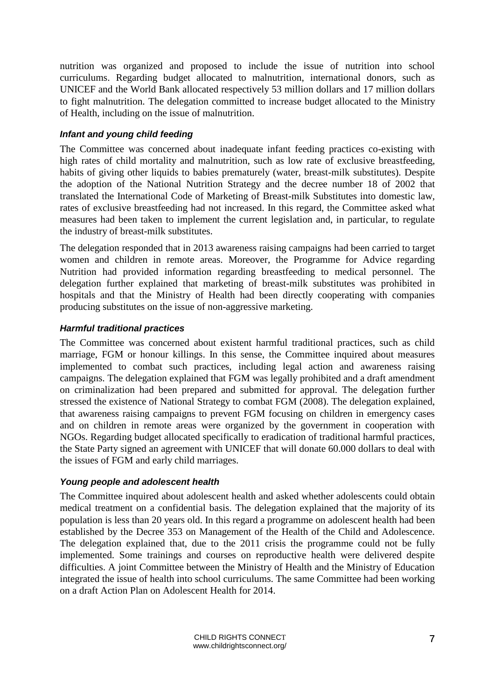nutrition was organized and proposed to include the issue of nutrition into school curriculums. Regarding budget allocated to malnutrition, international donors, such as UNICEF and the World Bank allocated respectively 53 million dollars and 17 million dollars to fight malnutrition. The delegation committed to increase budget allocated to the Ministry of Health, including on the issue of malnutrition.

### *Infant and young child feeding*

The Committee was concerned about inadequate infant feeding practices co-existing with high rates of child mortality and malnutrition, such as low rate of exclusive breastfeeding, habits of giving other liquids to babies prematurely (water, breast-milk substitutes). Despite the adoption of the National Nutrition Strategy and the decree number 18 of 2002 that translated the International Code of Marketing of Breast-milk Substitutes into domestic law, rates of exclusive breastfeeding had not increased. In this regard, the Committee asked what measures had been taken to implement the current legislation and, in particular, to regulate the industry of breast-milk substitutes.

The delegation responded that in 2013 awareness raising campaigns had been carried to target women and children in remote areas. Moreover, the Programme for Advice regarding Nutrition had provided information regarding breastfeeding to medical personnel. The delegation further explained that marketing of breast-milk substitutes was prohibited in hospitals and that the Ministry of Health had been directly cooperating with companies producing substitutes on the issue of non-aggressive marketing.

### *Harmful traditional practices*

The Committee was concerned about existent harmful traditional practices, such as child marriage, FGM or honour killings. In this sense, the Committee inquired about measures implemented to combat such practices, including legal action and awareness raising campaigns. The delegation explained that FGM was legally prohibited and a draft amendment on criminalization had been prepared and submitted for approval. The delegation further stressed the existence of National Strategy to combat FGM (2008). The delegation explained, that awareness raising campaigns to prevent FGM focusing on children in emergency cases and on children in remote areas were organized by the government in cooperation with NGOs. Regarding budget allocated specifically to eradication of traditional harmful practices, the State Party signed an agreement with UNICEF that will donate 60.000 dollars to deal with the issues of FGM and early child marriages.

### *Young people and adolescent health*

<span id="page-6-0"></span>The Committee inquired about adolescent health and asked whether adolescents could obtain medical treatment on a confidential basis. The delegation explained that the majority of its population is less than 20 years old. In this regard a programme on adolescent health had been established by the Decree 353 on Management of the Health of the Child and Adolescence. The delegation explained that, due to the 2011 crisis the programme could not be fully implemented. Some trainings and courses on reproductive health were delivered despite difficulties. A joint Committee between the Ministry of Health and the Ministry of Education integrated the issue of health into school curriculums. The same Committee had been working on a draft Action Plan on Adolescent Health for 2014.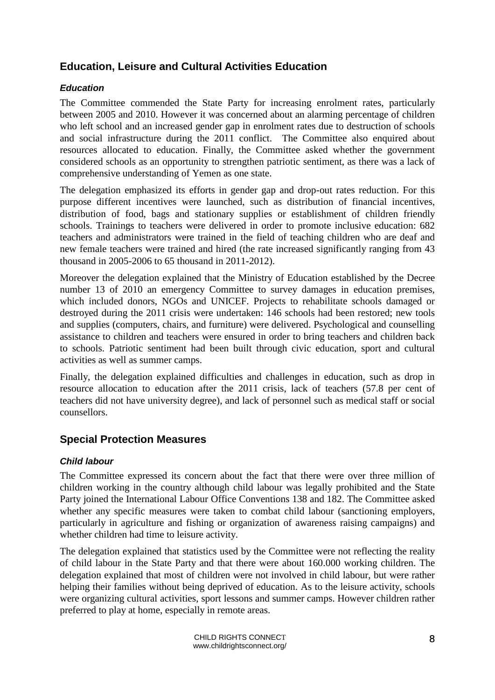# **Education, Leisure and Cultural Activities Education**

### *Education*

The Committee commended the State Party for increasing enrolment rates, particularly between 2005 and 2010. However it was concerned about an alarming percentage of children who left school and an increased gender gap in enrolment rates due to destruction of schools and social infrastructure during the 2011 conflict. The Committee also enquired about resources allocated to education. Finally, the Committee asked whether the government considered schools as an opportunity to strengthen patriotic sentiment, as there was a lack of comprehensive understanding of Yemen as one state.

The delegation emphasized its efforts in gender gap and drop-out rates reduction. For this purpose different incentives were launched, such as distribution of financial incentives, distribution of food, bags and stationary supplies or establishment of children friendly schools. Trainings to teachers were delivered in order to promote inclusive education: 682 teachers and administrators were trained in the field of teaching children who are deaf and new female teachers were trained and hired (the rate increased significantly ranging from 43 thousand in 2005-2006 to 65 thousand in 2011-2012).

Moreover the delegation explained that the Ministry of Education established by the Decree number 13 of 2010 an emergency Committee to survey damages in education premises, which included donors, NGOs and UNICEF. Projects to rehabilitate schools damaged or destroyed during the 2011 crisis were undertaken: 146 schools had been restored; new tools and supplies (computers, chairs, and furniture) were delivered. Psychological and counselling assistance to children and teachers were ensured in order to bring teachers and children back to schools. Patriotic sentiment had been built through civic education, sport and cultural activities as well as summer camps.

Finally, the delegation explained difficulties and challenges in education, such as drop in resource allocation to education after the 2011 crisis, lack of teachers (57.8 per cent of teachers did not have university degree), and lack of personnel such as medical staff or social counsellors.

### **Special Protection Measures**

### *Child labour*

The Committee expressed its concern about the fact that there were over three million of children working in the country although child labour was legally prohibited and the State Party joined the International Labour Office Conventions 138 and 182. The Committee asked whether any specific measures were taken to combat child labour (sanctioning employers, particularly in agriculture and fishing or organization of awareness raising campaigns) and whether children had time to leisure activity.

The delegation explained that statistics used by the Committee were not reflecting the reality of child labour in the State Party and that there were about 160.000 working children. The delegation explained that most of children were not involved in child labour, but were rather helping their families without being deprived of education. As to the leisure activity, schools were organizing cultural activities, sport lessons and summer camps. However children rather preferred to play at home, especially in remote areas.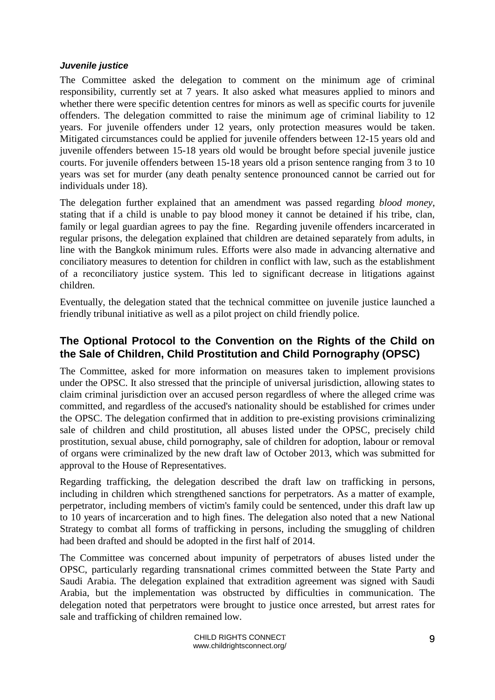### *Juvenile justice*

The Committee asked the delegation to comment on the minimum age of criminal responsibility, currently set at 7 years. It also asked what measures applied to minors and whether there were specific detention centres for minors as well as specific courts for juvenile offenders. The delegation committed to raise the minimum age of criminal liability to 12 years. For juvenile offenders under 12 years, only protection measures would be taken. Mitigated circumstances could be applied for juvenile offenders between 12-15 years old and juvenile offenders between 15-18 years old would be brought before special juvenile justice courts. For juvenile offenders between 15-18 years old a prison sentence ranging from 3 to 10 years was set for murder (any death penalty sentence pronounced cannot be carried out for individuals under 18).

The delegation further explained that an amendment was passed regarding *blood money*, stating that if a child is unable to pay blood money it cannot be detained if his tribe, clan, family or legal guardian agrees to pay the fine. Regarding juvenile offenders incarcerated in regular prisons, the delegation explained that children are detained separately from adults, in line with the Bangkok minimum rules. Efforts were also made in advancing alternative and conciliatory measures to detention for children in conflict with law, such as the establishment of a reconciliatory justice system. This led to significant decrease in litigations against children.

Eventually, the delegation stated that the technical committee on juvenile justice launched a friendly tribunal initiative as well as a pilot project on child friendly police.

# **The Optional Protocol to the Convention on the Rights of the Child on the Sale of Children, Child Prostitution and Child Pornography (OPSC)**

The Committee, asked for more information on measures taken to implement provisions under the OPSC. It also stressed that the principle of universal jurisdiction, allowing states to claim criminal jurisdiction over an accused person regardless of where the alleged crime was committed, and regardless of the accused's nationality should be established for crimes under the OPSC. The delegation confirmed that in addition to pre-existing provisions criminalizing sale of children and child prostitution, all abuses listed under the OPSC, precisely child prostitution, sexual abuse, child pornography, sale of children for adoption, labour or removal of organs were criminalized by the new draft law of October 2013, which was submitted for approval to the House of Representatives.

Regarding trafficking, the delegation described the draft law on trafficking in persons, including in children which strengthened sanctions for perpetrators. As a matter of example, perpetrator, including members of victim's family could be sentenced, under this draft law up to 10 years of incarceration and to high fines. The delegation also noted that a new National Strategy to combat all forms of trafficking in persons, including the smuggling of children had been drafted and should be adopted in the first half of 2014.

The Committee was concerned about impunity of perpetrators of abuses listed under the OPSC, particularly regarding transnational crimes committed between the State Party and Saudi Arabia. The delegation explained that extradition agreement was signed with Saudi Arabia, but the implementation was obstructed by difficulties in communication. The delegation noted that perpetrators were brought to justice once arrested, but arrest rates for sale and trafficking of children remained low.